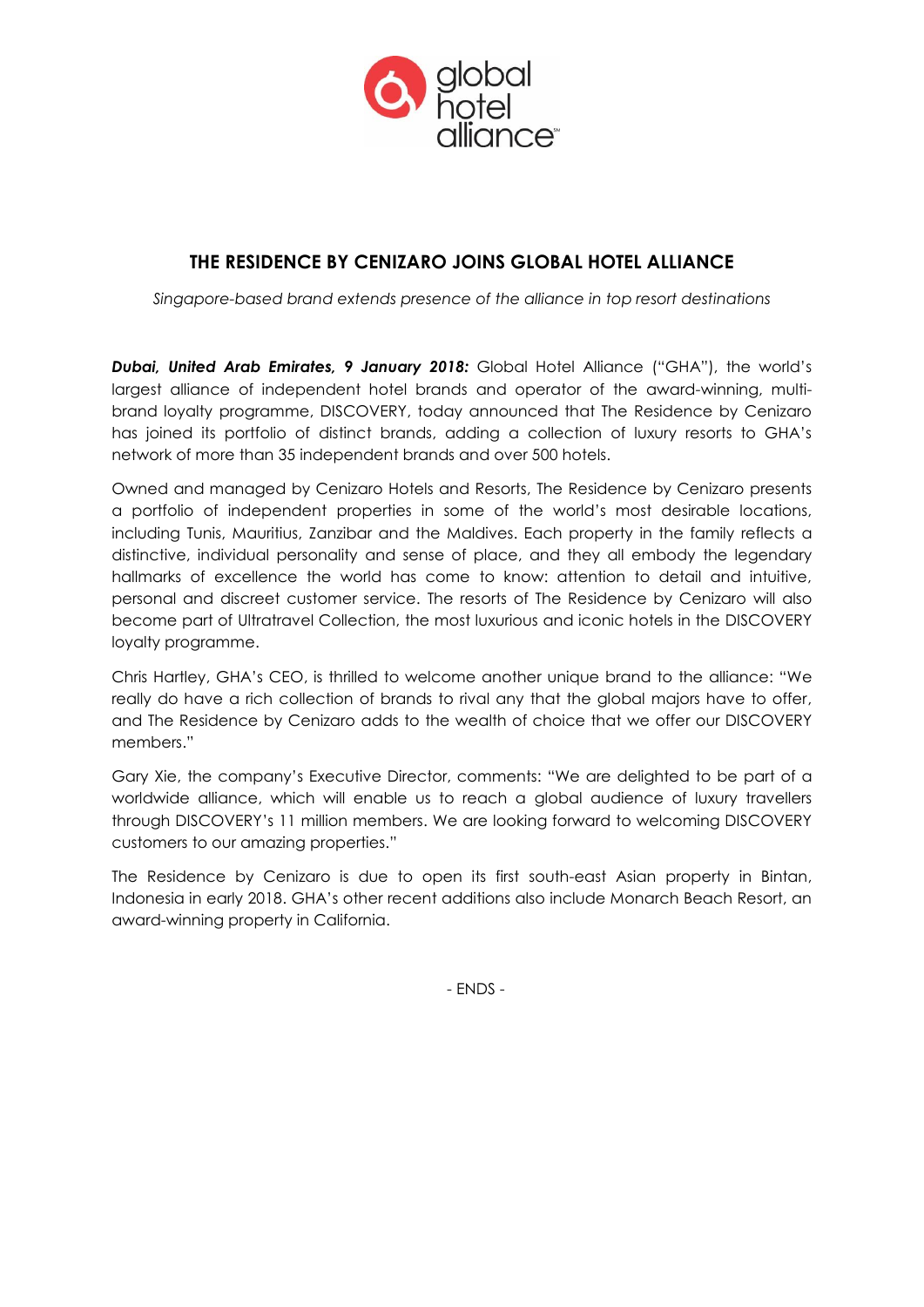

# **THE RESIDENCE BY CENIZARO JOINS GLOBAL HOTEL ALLIANCE**

*Singapore-based brand extends presence of the alliance in top resort destinations*

*Dubai, United Arab Emirates, 9 January 2018:* Global Hotel Alliance ("GHA"), the world's largest alliance of independent hotel brands and operator of the award-winning, multibrand loyalty programme, DISCOVERY, today announced that The Residence by Cenizaro has joined its portfolio of distinct brands, adding a collection of luxury resorts to GHA's network of more than 35 independent brands and over 500 hotels.

Owned and managed by Cenizaro Hotels and Resorts, The Residence by Cenizaro presents a portfolio of independent properties in some of the world's most desirable locations, including Tunis, Mauritius, Zanzibar and the Maldives. Each property in the family reflects a distinctive, individual personality and sense of place, and they all embody the legendary hallmarks of excellence the world has come to know: attention to detail and intuitive, personal and discreet customer service. The resorts of The Residence by Cenizaro will also become part of Ultratravel Collection, the most luxurious and iconic hotels in the DISCOVERY loyalty programme.

Chris Hartley, GHA's CEO, is thrilled to welcome another unique brand to the alliance: "We really do have a rich collection of brands to rival any that the global majors have to offer, and The Residence by Cenizaro adds to the wealth of choice that we offer our DISCOVERY members."

Gary Xie, the company's Executive Director, comments: "We are delighted to be part of a worldwide alliance, which will enable us to reach a global audience of luxury travellers through DISCOVERY's 11 million members. We are looking forward to welcoming DISCOVERY customers to our amazing properties."

The Residence by Cenizaro is due to open its first south-east Asian property in Bintan, Indonesia in early 2018. GHA's other recent additions also include Monarch Beach Resort, an award-winning property in California.

- ENDS -